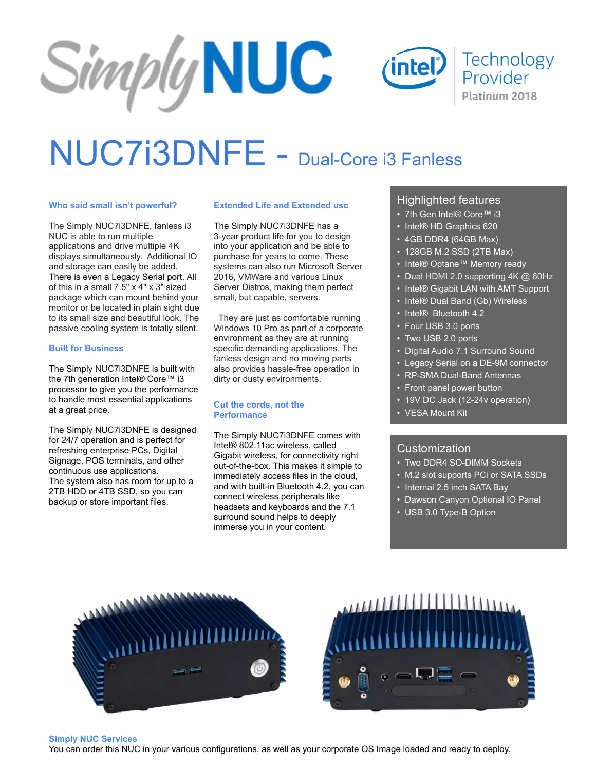### Simply NUC **Technology** intel Provider Platinum 2018

## NUC7i3DNFE - Dual-Core i3 Fanless

#### **Who said small isn't powerful?**

The Simply NUC7i3DNFE, fanless i3 NUC is able to run multiple applications and drive multiple 4K displays simultaneously. Additional IO and storage can easily be added. There is even a Legacy Serial port. All of this in a small 7.5" x 4" x 3" sized package which can mount behind your monitor or be located in plain sight due to its small size and beautiful look. The passive cooling system is totally silent.

#### **Built for Business**

The Simply NUC7i3DNFE is built with the 7th generation Intel® Core™ i3 processor to give you the performance to handle most essential applications at a great price.

The Simply NUC7i3DNFE is designed for 24/7 operation and is perfect for refreshing enterprise PCs, Digital Signage, POS terminals, and other continuous use applications. The system also has room for up to a 2TB HDD or 4TB SSD, so you can backup or store important files.

#### **Extended Life and Extended use**

The Simply NUC7i3DNFE has a 3-year product life for you to design into your application and be able to purchase for years to come. These systems can also run Microsoft Server 2016, VMWare and various Linux Server Distros, making them perfect small, but capable, servers.

 They are just as comfortable running Windows 10 Pro as part of a corporate environment as they are at running specific demanding applications. The fanless design and no moving parts also provides hassle-free operation in dirty or dusty environments.

#### **Cut the cords, not the Performance**

The Simply NUC7i3DNFE comes with Intel® 802.11ac wireless, called Gigabit wireless, for connectivity right out-of-the-box. This makes it simple to immediately access files in the cloud, and with built-in Bluetooth 4.2, you can connect wireless peripherals like headsets and keyboards and the 7.1 surround sound helps to deeply immerse you in your content.

#### Highlighted features

- 7th Gen Intel® Core™ i3
- Intel® HD Graphics 620
- 4GB DDR4 (64GB Max)
- 128GB M.2 SSD (2TB Max)
- Intel® Optane™ Memory ready
- Dual HDMI 2.0 supporting 4K @ 60Hz
- Intel® Gigabit LAN with AMT Support
- Intel® Dual Band (Gb) Wireless
- Intel® Bluetooth 4.2
- Four USB 3.0 ports
- Two USB 2.0 ports
- Digital Audio 7.1 Surround Sound
- Legacy Serial on a DE-9M connector
- RP-SMA Dual-Band Antennas
- Front panel power button
- 19V DC Jack (12-24v operation)
- VESA Mount Kit

#### Customization

- Two DDR4 SO-DIMM Sockets
- M.2 slot supports PCi or SATA SSDs
- Internal 2.5 inch SATA Bay
- Dawson Canyon Optional IO Panel
- USB 3.0 Type-B Option





#### **Simply NUC Services**

You can order this NUC in your various configurations, as well as your corporate OS Image loaded and ready to deploy.